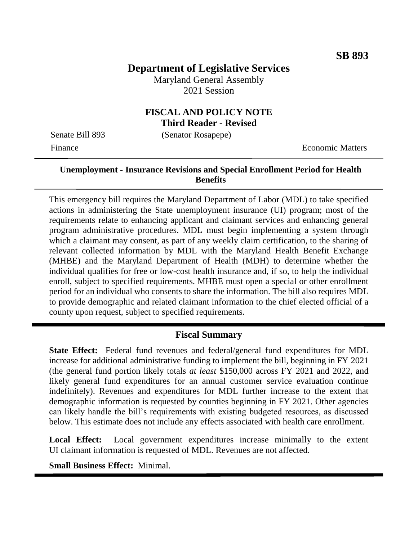# **Department of Legislative Services**

Maryland General Assembly 2021 Session

### **FISCAL AND POLICY NOTE Third Reader - Revised**

Senate Bill 893 (Senator Rosapepe)

Finance **Exercífical Economic Matters** 

### **Unemployment - Insurance Revisions and Special Enrollment Period for Health Benefits**

This emergency bill requires the Maryland Department of Labor (MDL) to take specified actions in administering the State unemployment insurance (UI) program; most of the requirements relate to enhancing applicant and claimant services and enhancing general program administrative procedures. MDL must begin implementing a system through which a claimant may consent, as part of any weekly claim certification, to the sharing of relevant collected information by MDL with the Maryland Health Benefit Exchange (MHBE) and the Maryland Department of Health (MDH) to determine whether the individual qualifies for free or low-cost health insurance and, if so, to help the individual enroll, subject to specified requirements. MHBE must open a special or other enrollment period for an individual who consents to share the information. The bill also requires MDL to provide demographic and related claimant information to the chief elected official of a county upon request, subject to specified requirements.

### **Fiscal Summary**

**State Effect:** Federal fund revenues and federal/general fund expenditures for MDL increase for additional administrative funding to implement the bill, beginning in FY 2021 (the general fund portion likely totals *at least* \$150,000 across FY 2021 and 2022, and likely general fund expenditures for an annual customer service evaluation continue indefinitely). Revenues and expenditures for MDL further increase to the extent that demographic information is requested by counties beginning in FY 2021. Other agencies can likely handle the bill's requirements with existing budgeted resources, as discussed below. This estimate does not include any effects associated with health care enrollment.

**Local Effect:** Local government expenditures increase minimally to the extent UI claimant information is requested of MDL. Revenues are not affected.

**Small Business Effect:** Minimal.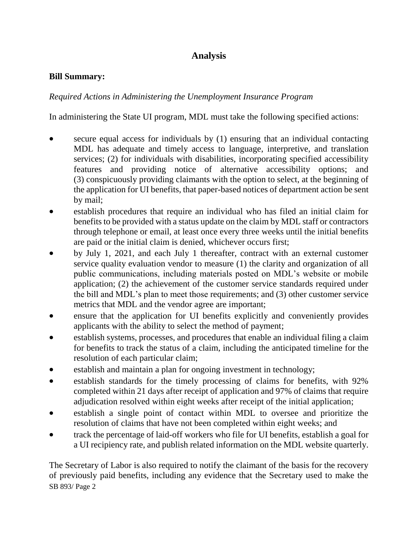# **Analysis**

#### **Bill Summary:**

### *Required Actions in Administering the Unemployment Insurance Program*

In administering the State UI program, MDL must take the following specified actions:

- secure equal access for individuals by (1) ensuring that an individual contacting MDL has adequate and timely access to language, interpretive, and translation services; (2) for individuals with disabilities, incorporating specified accessibility features and providing notice of alternative accessibility options; and (3) conspicuously providing claimants with the option to select, at the beginning of the application for UI benefits, that paper-based notices of department action be sent by mail;
- establish procedures that require an individual who has filed an initial claim for benefits to be provided with a status update on the claim by MDL staff or contractors through telephone or email, at least once every three weeks until the initial benefits are paid or the initial claim is denied, whichever occurs first;
- by July 1, 2021, and each July 1 thereafter, contract with an external customer service quality evaluation vendor to measure (1) the clarity and organization of all public communications, including materials posted on MDL's website or mobile application; (2) the achievement of the customer service standards required under the bill and MDL's plan to meet those requirements; and (3) other customer service metrics that MDL and the vendor agree are important;
- ensure that the application for UI benefits explicitly and conveniently provides applicants with the ability to select the method of payment;
- establish systems, processes, and procedures that enable an individual filing a claim for benefits to track the status of a claim, including the anticipated timeline for the resolution of each particular claim;
- establish and maintain a plan for ongoing investment in technology;
- establish standards for the timely processing of claims for benefits, with 92% completed within 21 days after receipt of application and 97% of claims that require adjudication resolved within eight weeks after receipt of the initial application;
- establish a single point of contact within MDL to oversee and prioritize the resolution of claims that have not been completed within eight weeks; and
- track the percentage of laid-off workers who file for UI benefits, establish a goal for a UI recipiency rate, and publish related information on the MDL website quarterly.

SB 893/ Page 2 The Secretary of Labor is also required to notify the claimant of the basis for the recovery of previously paid benefits, including any evidence that the Secretary used to make the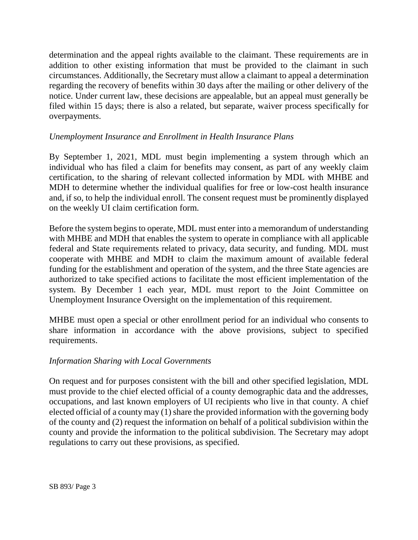determination and the appeal rights available to the claimant. These requirements are in addition to other existing information that must be provided to the claimant in such circumstances. Additionally, the Secretary must allow a claimant to appeal a determination regarding the recovery of benefits within 30 days after the mailing or other delivery of the notice. Under current law, these decisions are appealable, but an appeal must generally be filed within 15 days; there is also a related, but separate, waiver process specifically for overpayments.

### *Unemployment Insurance and Enrollment in Health Insurance Plans*

By September 1, 2021, MDL must begin implementing a system through which an individual who has filed a claim for benefits may consent, as part of any weekly claim certification, to the sharing of relevant collected information by MDL with MHBE and MDH to determine whether the individual qualifies for free or low-cost health insurance and, if so, to help the individual enroll. The consent request must be prominently displayed on the weekly UI claim certification form.

Before the system begins to operate, MDL must enter into a memorandum of understanding with MHBE and MDH that enables the system to operate in compliance with all applicable federal and State requirements related to privacy, data security, and funding. MDL must cooperate with MHBE and MDH to claim the maximum amount of available federal funding for the establishment and operation of the system, and the three State agencies are authorized to take specified actions to facilitate the most efficient implementation of the system. By December 1 each year, MDL must report to the Joint Committee on Unemployment Insurance Oversight on the implementation of this requirement.

MHBE must open a special or other enrollment period for an individual who consents to share information in accordance with the above provisions, subject to specified requirements.

### *Information Sharing with Local Governments*

On request and for purposes consistent with the bill and other specified legislation, MDL must provide to the chief elected official of a county demographic data and the addresses, occupations, and last known employers of UI recipients who live in that county. A chief elected official of a county may (1) share the provided information with the governing body of the county and (2) request the information on behalf of a political subdivision within the county and provide the information to the political subdivision. The Secretary may adopt regulations to carry out these provisions, as specified.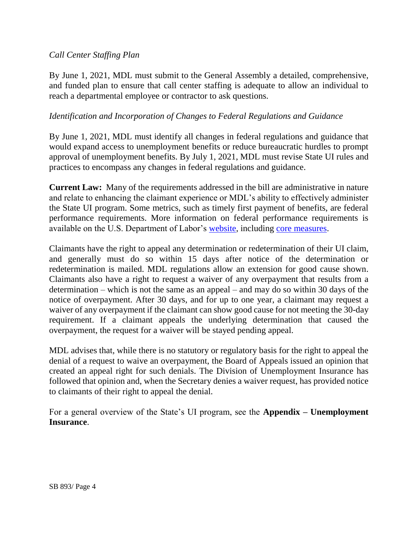### *Call Center Staffing Plan*

By June 1, 2021, MDL must submit to the General Assembly a detailed, comprehensive, and funded plan to ensure that call center staffing is adequate to allow an individual to reach a departmental employee or contractor to ask questions.

### *Identification and Incorporation of Changes to Federal Regulations and Guidance*

By June 1, 2021, MDL must identify all changes in federal regulations and guidance that would expand access to unemployment benefits or reduce bureaucratic hurdles to prompt approval of unemployment benefits. By July 1, 2021, MDL must revise State UI rules and practices to encompass any changes in federal regulations and guidance.

**Current Law:** Many of the requirements addressed in the bill are administrative in nature and relate to enhancing the claimant experience or MDL's ability to effectively administer the State UI program. Some metrics, such as timely first payment of benefits, are federal performance requirements. More information on federal performance requirements is available on the U.S. Department of Labor's [website,](https://oui.doleta.gov/unemploy/uiperforms.asp) including [core measures.](https://oui.doleta.gov/unemploy/pdf/Core_Measures.pdf)

Claimants have the right to appeal any determination or redetermination of their UI claim, and generally must do so within 15 days after notice of the determination or redetermination is mailed. MDL regulations allow an extension for good cause shown. Claimants also have a right to request a waiver of any overpayment that results from a determination – which is not the same as an appeal – and may do so within 30 days of the notice of overpayment. After 30 days, and for up to one year, a claimant may request a waiver of any overpayment if the claimant can show good cause for not meeting the 30-day requirement. If a claimant appeals the underlying determination that caused the overpayment, the request for a waiver will be stayed pending appeal.

MDL advises that, while there is no statutory or regulatory basis for the right to appeal the denial of a request to waive an overpayment, the Board of Appeals issued an opinion that created an appeal right for such denials. The Division of Unemployment Insurance has followed that opinion and, when the Secretary denies a waiver request, has provided notice to claimants of their right to appeal the denial.

For a general overview of the State's UI program, see the **Appendix – Unemployment Insurance**.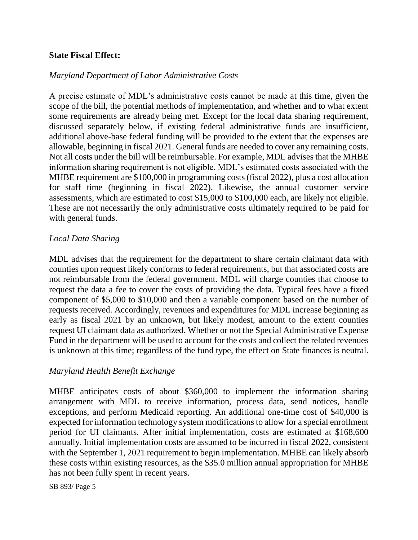#### **State Fiscal Effect:**

#### *Maryland Department of Labor Administrative Costs*

A precise estimate of MDL's administrative costs cannot be made at this time, given the scope of the bill, the potential methods of implementation, and whether and to what extent some requirements are already being met. Except for the local data sharing requirement, discussed separately below, if existing federal administrative funds are insufficient, additional above-base federal funding will be provided to the extent that the expenses are allowable, beginning in fiscal 2021. General funds are needed to cover any remaining costs. Not all costs under the bill will be reimbursable. For example, MDL advises that the MHBE information sharing requirement is not eligible. MDL's estimated costs associated with the MHBE requirement are \$100,000 in programming costs (fiscal 2022), plus a cost allocation for staff time (beginning in fiscal 2022). Likewise, the annual customer service assessments, which are estimated to cost \$15,000 to \$100,000 each, are likely not eligible. These are not necessarily the only administrative costs ultimately required to be paid for with general funds.

#### *Local Data Sharing*

MDL advises that the requirement for the department to share certain claimant data with counties upon request likely conforms to federal requirements, but that associated costs are not reimbursable from the federal government. MDL will charge counties that choose to request the data a fee to cover the costs of providing the data. Typical fees have a fixed component of \$5,000 to \$10,000 and then a variable component based on the number of requests received. Accordingly, revenues and expenditures for MDL increase beginning as early as fiscal 2021 by an unknown, but likely modest, amount to the extent counties request UI claimant data as authorized. Whether or not the Special Administrative Expense Fund in the department will be used to account for the costs and collect the related revenues is unknown at this time; regardless of the fund type, the effect on State finances is neutral.

#### *Maryland Health Benefit Exchange*

MHBE anticipates costs of about \$360,000 to implement the information sharing arrangement with MDL to receive information, process data, send notices, handle exceptions, and perform Medicaid reporting. An additional one-time cost of \$40,000 is expected for information technology system modifications to allow for a special enrollment period for UI claimants. After initial implementation, costs are estimated at \$168,600 annually. Initial implementation costs are assumed to be incurred in fiscal 2022, consistent with the September 1, 2021 requirement to begin implementation. MHBE can likely absorb these costs within existing resources, as the \$35.0 million annual appropriation for MHBE has not been fully spent in recent years.

SB 893/ Page 5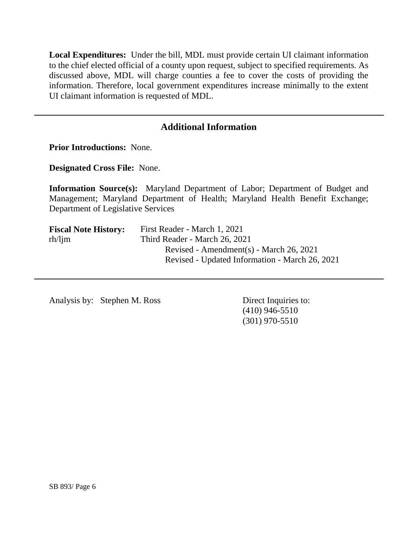**Local Expenditures:** Under the bill, MDL must provide certain UI claimant information to the chief elected official of a county upon request, subject to specified requirements. As discussed above, MDL will charge counties a fee to cover the costs of providing the information. Therefore, local government expenditures increase minimally to the extent UI claimant information is requested of MDL.

# **Additional Information**

**Prior Introductions:** None.

**Designated Cross File:** None.

**Information Source(s):** Maryland Department of Labor; Department of Budget and Management; Maryland Department of Health; Maryland Health Benefit Exchange; Department of Legislative Services

| <b>Fiscal Note History:</b> | First Reader - March 1, 2021                   |  |  |  |  |  |
|-----------------------------|------------------------------------------------|--|--|--|--|--|
| $rh/l$ jm                   | Third Reader - March 26, 2021                  |  |  |  |  |  |
|                             | Revised - Amendment(s) - March 26, 2021        |  |  |  |  |  |
|                             | Revised - Updated Information - March 26, 2021 |  |  |  |  |  |

Analysis by: Stephen M. Ross Direct Inquiries to:

(410) 946-5510 (301) 970-5510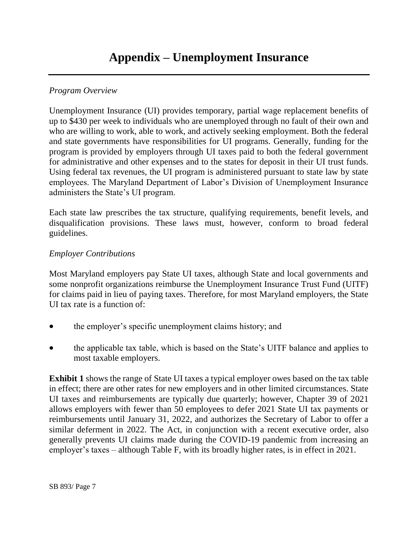## *Program Overview*

Unemployment Insurance (UI) provides temporary, partial wage replacement benefits of up to \$430 per week to individuals who are unemployed through no fault of their own and who are willing to work, able to work, and actively seeking employment. Both the federal and state governments have responsibilities for UI programs. Generally, funding for the program is provided by employers through UI taxes paid to both the federal government for administrative and other expenses and to the states for deposit in their UI trust funds. Using federal tax revenues, the UI program is administered pursuant to state law by state employees. The Maryland Department of Labor's Division of Unemployment Insurance administers the State's UI program.

Each state law prescribes the tax structure, qualifying requirements, benefit levels, and disqualification provisions. These laws must, however, conform to broad federal guidelines.

### *Employer Contributions*

Most Maryland employers pay State UI taxes, although State and local governments and some nonprofit organizations reimburse the Unemployment Insurance Trust Fund (UITF) for claims paid in lieu of paying taxes. Therefore, for most Maryland employers, the State UI tax rate is a function of:

- the employer's specific unemployment claims history; and
- the applicable tax table, which is based on the State's UITF balance and applies to most taxable employers.

**Exhibit 1** shows the range of State UI taxes a typical employer owes based on the tax table in effect; there are other rates for new employers and in other limited circumstances. State UI taxes and reimbursements are typically due quarterly; however, Chapter 39 of 2021 allows employers with fewer than 50 employees to defer 2021 State UI tax payments or reimbursements until January 31, 2022, and authorizes the Secretary of Labor to offer a similar deferment in 2022. The Act, in conjunction with a recent executive order, also generally prevents UI claims made during the COVID-19 pandemic from increasing an employer's taxes – although Table F, with its broadly higher rates, is in effect in 2021.